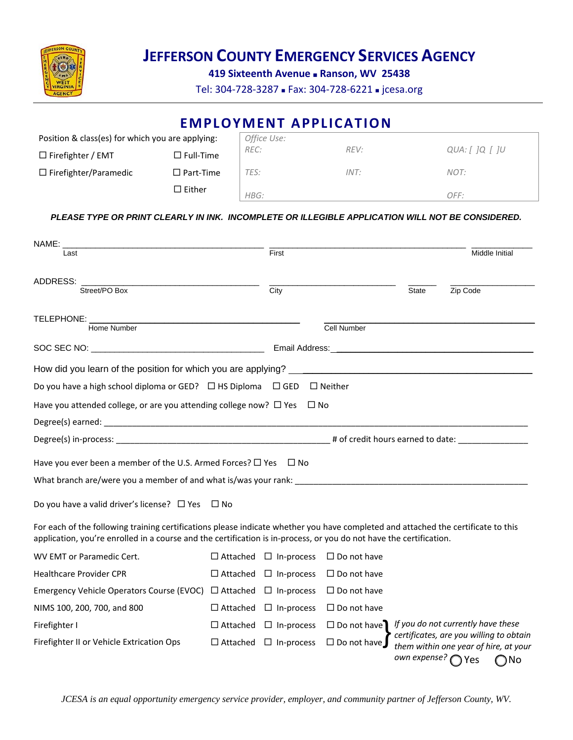

**419 Sixteenth Avenue Ranson, WV 25438**

Tel: 304-728-3287 - Fax: 304-728-6221 - jcesa.org

|                                                                                                                                                                                                                                                          |                     |                    |                   | <b>EMPLOYMENT APPLICATION</b> |              |                                                                                           |              |
|----------------------------------------------------------------------------------------------------------------------------------------------------------------------------------------------------------------------------------------------------------|---------------------|--------------------|-------------------|-------------------------------|--------------|-------------------------------------------------------------------------------------------|--------------|
| Position & class(es) for which you are applying:                                                                                                                                                                                                         |                     |                    | Office Use:       |                               |              |                                                                                           |              |
| $\Box$ Firefighter / EMT                                                                                                                                                                                                                                 | $\Box$ Full-Time    | REC:               |                   | REV:                          |              | QUA: [ $]Q$ [ $]U$                                                                        |              |
| $\Box$ Firefighter/Paramedic                                                                                                                                                                                                                             | $\square$ Part-Time | TES:               |                   | INT:                          |              | NOT:                                                                                      |              |
|                                                                                                                                                                                                                                                          | $\square$ Either    | HBG:               |                   |                               |              | OFF:                                                                                      |              |
| PLEASE TYPE OR PRINT CLEARLY IN INK. INCOMPLETE OR ILLEGIBLE APPLICATION WILL NOT BE CONSIDERED.                                                                                                                                                         |                     |                    |                   |                               |              |                                                                                           |              |
| NAME:                                                                                                                                                                                                                                                    |                     |                    |                   |                               |              |                                                                                           |              |
| Last                                                                                                                                                                                                                                                     |                     |                    | First             |                               |              | Middle Initial                                                                            |              |
| ADDRESS:                                                                                                                                                                                                                                                 |                     |                    |                   |                               |              |                                                                                           |              |
| Street/PO Box                                                                                                                                                                                                                                            |                     |                    | $\overline{City}$ |                               | <b>State</b> | Zip Code                                                                                  |              |
| TELEPHONE: ___________                                                                                                                                                                                                                                   |                     |                    |                   |                               |              |                                                                                           |              |
| Home Number                                                                                                                                                                                                                                              |                     |                    |                   | Cell Number                   |              |                                                                                           |              |
|                                                                                                                                                                                                                                                          |                     |                    |                   |                               |              |                                                                                           |              |
| How did you learn of the position for which you are applying? __________________                                                                                                                                                                         |                     |                    |                   |                               |              |                                                                                           |              |
|                                                                                                                                                                                                                                                          |                     |                    |                   |                               |              |                                                                                           |              |
| Do you have a high school diploma or GED? $\Box$ HS Diploma $\Box$ GED                                                                                                                                                                                   |                     |                    |                   | $\Box$ Neither                |              |                                                                                           |              |
| Have you attended college, or are you attending college now? $\Box$ Yes $\Box$ No                                                                                                                                                                        |                     |                    |                   |                               |              |                                                                                           |              |
|                                                                                                                                                                                                                                                          |                     |                    |                   |                               |              |                                                                                           |              |
|                                                                                                                                                                                                                                                          |                     |                    |                   |                               |              |                                                                                           |              |
| Have you ever been a member of the U.S. Armed Forces? $\Box$ Yes $\Box$ No                                                                                                                                                                               |                     |                    |                   |                               |              |                                                                                           |              |
| What branch are/were you a member of and what is/was your rank:                                                                                                                                                                                          |                     |                    |                   |                               |              |                                                                                           |              |
| Do you have a valid driver's license? $\Box$ Yes $\Box$ No                                                                                                                                                                                               |                     |                    |                   |                               |              |                                                                                           |              |
| For each of the following training certifications please indicate whether you have completed and attached the certificate to this<br>application, you're enrolled in a course and the certification is in-process, or you do not have the certification. |                     |                    |                   |                               |              |                                                                                           |              |
| WV EMT or Paramedic Cert.                                                                                                                                                                                                                                |                     | $\Box$ Attached    | $\Box$ In-process | $\Box$ Do not have            |              |                                                                                           |              |
| <b>Healthcare Provider CPR</b>                                                                                                                                                                                                                           |                     | $\Box$ Attached    | $\Box$ In-process | $\Box$ Do not have            |              |                                                                                           |              |
| Emergency Vehicle Operators Course (EVOC)                                                                                                                                                                                                                |                     | $\Box$ Attached    | $\Box$ In-process | $\Box$ Do not have            |              |                                                                                           |              |
| NIMS 100, 200, 700, and 800                                                                                                                                                                                                                              |                     | $\Box$ Attached    | $\Box$ In-process | $\square$ Do not have         |              |                                                                                           |              |
| Firefighter I                                                                                                                                                                                                                                            |                     | $\square$ Attached | $\Box$ In-process | $\Box$ Do not have            |              | If you do not currently have these                                                        |              |
| Firefighter II or Vehicle Extrication Ops                                                                                                                                                                                                                |                     | $\square$ Attached | $\Box$ In-process | $\Box$ Do not have            | own expense? | certificates, are you willing to obtain<br>them within one year of hire, at your<br>) Yes | $\bigcap$ No |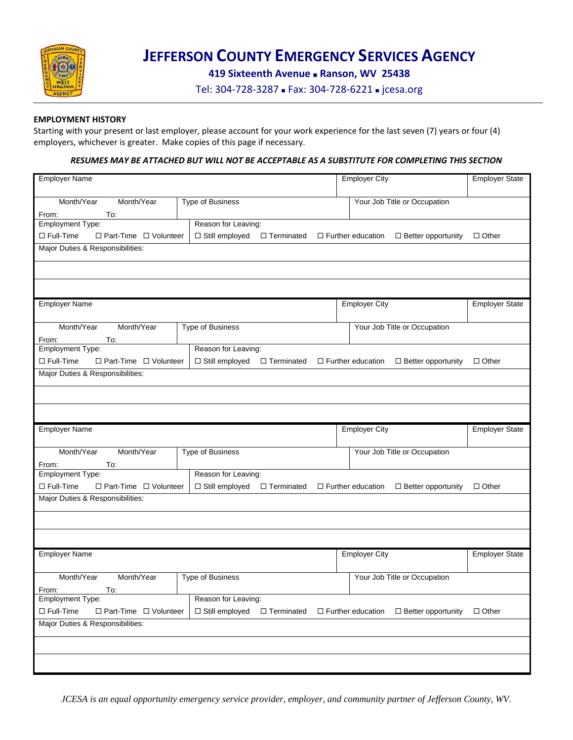

**419 Sixteenth Avenue Ranson, WV 25438**

Tel: 304-728-3287 - Fax: 304-728-6221 - jcesa.org

### **EMPLOYMENT HISTORY**

Starting with your present or last employer, please account for your work experience for the last seven (7) years or four (4) employers, whichever is greater. Make copies of this page if necessary.

### *RESUMES MAY BE ATTACHED BUT WILL NOT BE ACCEPTABLE AS A SUBSTITUTE FOR COMPLETING THIS SECTION*

| <b>Employer Name</b>                                  | <b>Employer City</b>                    | <b>Employer State</b>                                 |                       |
|-------------------------------------------------------|-----------------------------------------|-------------------------------------------------------|-----------------------|
| Month/Year<br>Month/Year                              | Your Job Title or Occupation            |                                                       |                       |
|                                                       | <b>Type of Business</b>                 |                                                       |                       |
| To:<br>From:<br><b>Employment Type:</b>               | Reason for Leaving:                     |                                                       |                       |
| $\Box$ Full-Time<br>$\Box$ Part-Time $\Box$ Volunteer | □ Still employed<br>□ Terminated        | $\Box$ Better opportunity<br>$\Box$ Further education | $\Box$ Other          |
| Major Duties & Responsibilities:                      |                                         |                                                       |                       |
|                                                       |                                         |                                                       |                       |
|                                                       |                                         |                                                       |                       |
|                                                       |                                         |                                                       |                       |
|                                                       |                                         |                                                       |                       |
| <b>Employer Name</b>                                  |                                         | <b>Employer City</b>                                  | <b>Employer State</b> |
|                                                       |                                         |                                                       |                       |
| Month/Year<br>Month/Year                              | Type of Business                        | Your Job Title or Occupation                          |                       |
| From:<br>To:                                          |                                         |                                                       |                       |
| <b>Employment Type:</b>                               | Reason for Leaving:                     |                                                       |                       |
| $\Box$ Full-Time<br>□ Part-Time □ Volunteer           | □ Still employed<br>□ Terminated        | $\Box$ Further education<br>$\Box$ Better opportunity | $\Box$ Other          |
| Major Duties & Responsibilities:                      |                                         |                                                       |                       |
|                                                       |                                         |                                                       |                       |
|                                                       |                                         |                                                       |                       |
|                                                       |                                         |                                                       |                       |
|                                                       |                                         |                                                       |                       |
|                                                       |                                         |                                                       |                       |
| <b>Employer Name</b>                                  |                                         | <b>Employer City</b>                                  | <b>Employer State</b> |
|                                                       |                                         |                                                       |                       |
| Month/Year<br>Month/Year                              | <b>Type of Business</b>                 | Your Job Title or Occupation                          |                       |
| From:<br>To:                                          |                                         |                                                       |                       |
| <b>Employment Type:</b>                               | Reason for Leaving:                     |                                                       |                       |
| $\Box$ Full-Time<br>□ Part-Time □ Volunteer           | $\Box$ Still employed $\Box$ Terminated | $\Box$ Further education<br>$\Box$ Better opportunity | $\Box$ Other          |
| Major Duties & Responsibilities:                      |                                         |                                                       |                       |
|                                                       |                                         |                                                       |                       |
|                                                       |                                         |                                                       |                       |
|                                                       |                                         |                                                       |                       |
|                                                       |                                         |                                                       |                       |
| <b>Employer Name</b>                                  |                                         | <b>Employer City</b>                                  | <b>Employer State</b> |
|                                                       |                                         |                                                       |                       |
| Month/Year<br>Month/Year                              | Type of Business                        | Your Job Title or Occupation                          |                       |
| From:<br>To:                                          |                                         |                                                       |                       |
| <b>Employment Type:</b>                               | Reason for Leaving:                     |                                                       |                       |
| $\Box$ Full-Time<br>$\Box$ Part-Time $\Box$ Volunteer | □ Still employed<br>$\Box$ Terminated   | $\Box$ Further education<br>$\Box$ Better opportunity | $\Box$ Other          |
| Major Duties & Responsibilities:                      |                                         |                                                       |                       |
|                                                       |                                         |                                                       |                       |
|                                                       |                                         |                                                       |                       |

*JCESA is an equal opportunity emergency service provider, employer, and community partner of Jefferson County, WV.*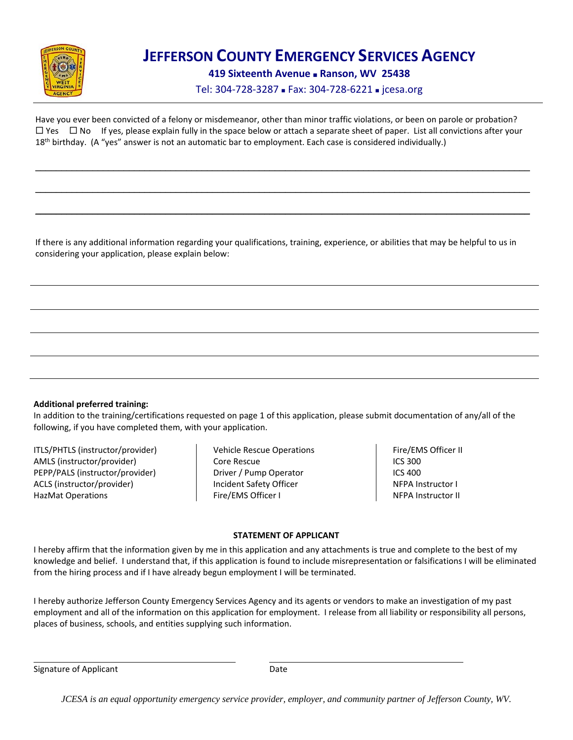

**419 Sixteenth Avenue Ranson, WV 25438**

Tel: 304-728-3287 - Fax: 304-728-6221 - jcesa.org

Have you ever been convicted of a felony or misdemeanor, other than minor traffic violations, or been on parole or probation?  $\Box$  Yes  $\Box$  No If yes, please explain fully in the space below or attach a separate sheet of paper. List all convictions after your 18<sup>th</sup> birthday. (A "yes" answer is not an automatic bar to employment. Each case is considered individually.)

\_\_\_\_\_\_\_\_\_\_\_\_\_\_\_\_\_\_\_\_\_\_\_\_\_\_\_\_\_\_\_\_\_\_\_\_\_\_\_\_\_\_\_\_\_\_\_\_\_\_\_\_\_\_\_\_\_\_\_\_\_\_\_\_\_\_\_\_\_\_\_\_\_\_\_\_\_\_\_\_\_\_\_\_\_\_\_\_\_\_\_\_\_\_\_

\_\_\_\_\_\_\_\_\_\_\_\_\_\_\_\_\_\_\_\_\_\_\_\_\_\_\_\_\_\_\_\_\_\_\_\_\_\_\_\_\_\_\_\_\_\_\_\_\_\_\_\_\_\_\_\_\_\_\_\_\_\_\_\_\_\_\_\_\_\_\_\_\_\_\_\_\_\_\_\_\_\_\_\_\_\_\_\_\_\_\_\_\_\_\_

\_\_\_\_\_\_\_\_\_\_\_\_\_\_\_\_\_\_\_\_\_\_\_\_\_\_\_\_\_\_\_\_\_\_\_\_\_\_\_\_\_\_\_\_\_\_\_\_\_\_\_\_\_\_\_\_\_\_\_\_\_\_\_\_\_\_\_\_\_\_\_\_\_\_\_\_\_\_\_\_\_\_\_\_\_\_\_\_\_\_\_\_\_\_\_

If there is any additional information regarding your qualifications, training, experience, or abilities that may be helpful to us in considering your application, please explain below:

#### **Additional preferred training:**

In addition to the training/certifications requested on page 1 of this application, please submit documentation of any/all of the following, if you have completed them, with your application.

ITLS/PHTLS (instructor/provider) AMLS (instructor/provider) PEPP/PALS (instructor/provider) ACLS (instructor/provider) HazMat Operations

Vehicle Rescue Operations Core Rescue Driver / Pump Operator Incident Safety Officer Fire/EMS Officer I

Fire/EMS Officer II ICS 300 ICS 400 NFPA Instructor I NFPA Instructor II

#### **STATEMENT OF APPLICANT**

I hereby affirm that the information given by me in this application and any attachments is true and complete to the best of my knowledge and belief. I understand that, if this application is found to include misrepresentation or falsifications I will be eliminated from the hiring process and if I have already begun employment I will be terminated.

I hereby authorize Jefferson County Emergency Services Agency and its agents or vendors to make an investigation of my past employment and all of the information on this application for employment. I release from all liability or responsibility all persons, places of business, schools, and entities supplying such information.

Signature of Applicant **Date** Date